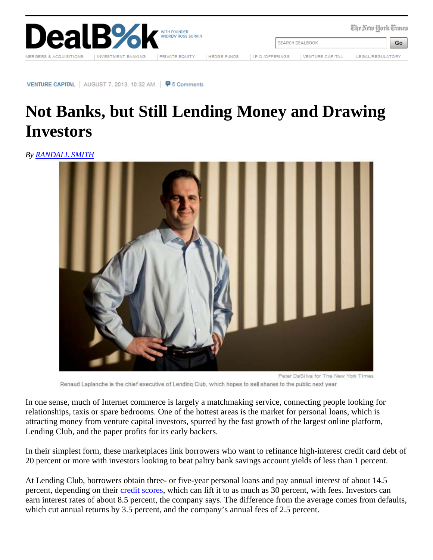

VENTURE CAPITAL | AUGUST 7, 2013, 10:32 AM | 早5 Comments

## **Not Banks, but Still Lending Money and Drawing Investors**

*By RANDALL SMITH*



Peter DaSilva for The New York Times Renaud Laplanche is the chief executive of Lending Club, which hopes to sell shares to the public next year.

In one sense, much of Internet commerce is largely a matchmaking service, connecting people looking for relationships, taxis or spare bedrooms. One of the hottest areas is the market for personal loans, which is attracting money from venture capital investors, spurred by the fast growth of the largest online platform, Lending Club, and the paper profits for its early backers.

In their simplest form, these marketplaces link borrowers who want to refinance high-interest credit card debt of 20 percent or more with investors looking to beat paltry bank savings account yields of less than 1 percent.

At Lending Club, borrowers obtain three- or five-year personal loans and pay annual interest of about 14.5 percent, depending on their credit scores, which can lift it to as much as 30 percent, with fees. Investors can earn interest rates of about 8.5 percent, the company says. The difference from the average comes from defaults, which cut annual returns by 3.5 percent, and the company's annual fees of 2.5 percent.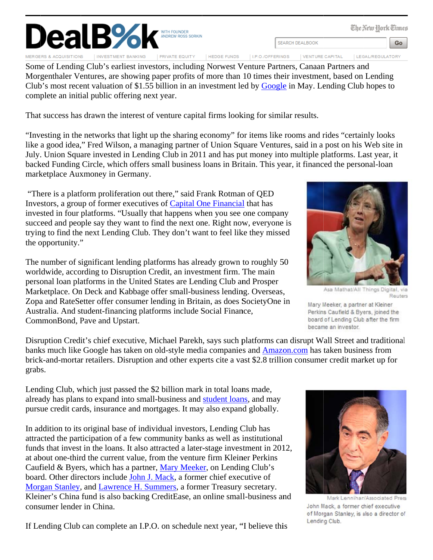|                             |                           |                       |                    |                         |  | The New Hork Times |                         |    |  |
|-----------------------------|---------------------------|-----------------------|--------------------|-------------------------|--|--------------------|-------------------------|----|--|
| <b>DealB%k WITH FOUNDER</b> |                           |                       |                    |                         |  | SEARCH DEALBOOK    |                         | Go |  |
| MERGERS & ACQUISITIONS      | <b>INVESTMENT BANKING</b> | <b>PRIVATE EQUITY</b> | <b>HEDGE FUNDS</b> | <b>I.P.O./OFFERINGS</b> |  | VENTURE CAPITAL    | <b>LEGAL/REGULATORY</b> |    |  |
|                             |                           |                       |                    |                         |  |                    |                         |    |  |

Some of Lending Club's earliest investors, including Norwest Venture Partners, Canaan Partners and Morgenthaler Ventures, are showing paper profits of more than 10 times their investment, based on Lending Club's most recent valuation of \$1.55 billion in an investment led by Google in May. Lending Club hopes to complete an initial public offering next year.

That success has drawn the interest of venture capital firms looking for similar results.

"Investing in the networks that light up the sharing economy" for items like rooms and rides "certainly looks" like a good idea," Fred Wilson, a managing partner of Union Square Ventures, said in a post on his Web site in July. Union Square invested in Lending Club in 2011 and has put money into multiple platforms. Last year, it backed Funding Circle, which offers small business loans in Britain. This year, it financed the personal-loan marketplace Auxmoney in Germany.

"There is a platform proliferation out there," said Frank Rotman of QED Investors, a group of former executives of Capital One Financial that has invested in four platforms. "Usually that happens when you see one company succeed and people say they want to find the next one. Right now, everyone is trying to find the next Lending Club. They don't want to feel like they missed the opportunity."

The number of significant lending platforms has already grown to roughly 50 worldwide, according to Disruption Credit, an investment firm. The main personal loan platforms in the United States are Lending Club and Prosper Marketplace. On Deck and Kabbage offer small-business lending. Overseas, Zopa and RateSetter offer consumer lending in Britain, as does SocietyOne in Australia. And student-financing platforms include Social Finance, CommonBond, Pave and Upstart.

Disruption Credit's chief executive, Michael Parekh, says such platforms can disrupt Wall Street and traditional banks much like Google has taken on old-style media companies and Amazon.com has taken business from brick-and-mortar retailers. Disruption and other experts cite a vast \$2.8 trillion consumer credit market up for grabs.

Lending Club, which just passed the \$2 billion mark in total loans made, already has plans to expand into small-business and student loans, and may pursue credit cards, insurance and mortgages. It may also expand globally.

In addition to its original base of individual investors, Lending Club has attracted the participation of a few community banks as well as institutional funds that invest in the loans. It also attracted a later-stage investment in 2012. at about one-third the current value, from the venture firm Kleiner Perkins Caufield & Byers, which has a partner, Mary Meeker, on Lending Club's board. Other directors include John J. Mack, a former chief executive of Morgan Stanley, and Lawrence H. Summers, a former Treasury secretary. Kleiner's China fund is also backing CreditEase, an online small-business and consumer lender in China

If Lending Club can complete an I.P.O. on schedule next year, "I believe this



Mark Lennihan/Associated Press John Mack, a former chief executive of Morgan Stanley, is also a director of Lending Club.



Asa Mathat/All Things Digital, via Reuters

Mary Meeker, a partner at Kleiner Perkins Caufield & Byers, joined the board of Lending Club after the firm became an investor.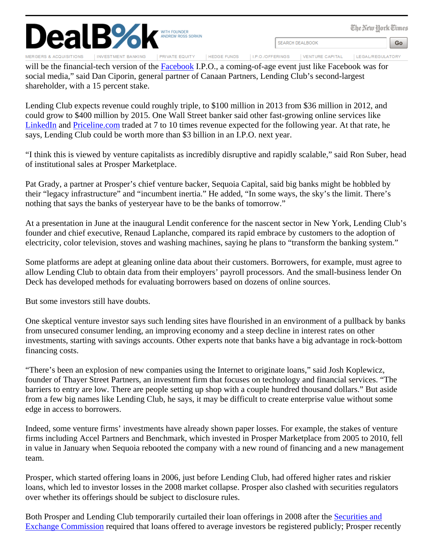

LEGAL/REGULATORY

Go

SEARCH DEALBOOK

**INVESTMENT BANKING** 

| I.P.O./OFFERINGS VENTURE CAPITAL

will be the financial-tech version of the Facebook I.P.O., a coming-of-age event just like Facebook was for social media," said Dan Ciporin, general partner of Canaan Partners, Lending Club's second-largest shareholder, with a 15 percent stake.

Lending Club expects revenue could roughly triple, to \$100 million in 2013 from \$36 million in 2012, and could grow to \$400 million by 2015. One Wall Street banker said other fast-growing online services like LinkedIn and Priceline.com traded at 7 to 10 times revenue expected for the following year. At that rate, he says, Lending Club could be worth more than \$3 billion in an I.P.O. next year.

"I think this is viewed by venture capitalists as incredibly disruptive and rapidly scalable," said Ron Suber, head of institutional sales at Prosper Marketplace.

Pat Grady, a partner at Prosper's chief venture backer, Sequoia Capital, said big banks might be hobbled by their "legacy infrastructure" and "incumbent inertia." He added, "In some ways, the sky's the limit. There's nothing that says the banks of yesteryear have to be the banks of tomorrow."

At a presentation in June at the inaugural Lendit conference for the nascent sector in New York, Lending Club's founder and chief executive, Renaud Laplanche, compared its rapid embrace by customers to the adoption of electricity, color television, stoves and washing machines, saying he plans to "transform the banking system."

Some platforms are adept at gleaning online data about their customers. Borrowers, for example, must agree to allow Lending Club to obtain data from their employers' payroll processors. And the small-business lender On Deck has developed methods for evaluating borrowers based on dozens of online sources.

But some investors still have doubts.

One skeptical venture investor says such lending sites have flourished in an environment of a pullback by banks from unsecured consumer lending, an improving economy and a steep decline in interest rates on other investments, starting with savings accounts. Other experts note that banks have a big advantage in rock-bottom financing costs.

"There's been an explosion of new companies using the Internet to originate loans," said Josh Koplewicz, founder of Thayer Street Partners, an investment firm that focuses on technology and financial services. "The barriers to entry are low. There are people setting up shop with a couple hundred thousand dollars." But aside from a few big names like Lending Club, he says, it may be difficult to create enterprise value without some edge in access to borrowers.

Indeed, some venture firms' investments have already shown paper losses. For example, the stakes of venture firms including Accel Partners and Benchmark, which invested in Prosper Marketplace from 2005 to 2010, fell in value in January when Sequoia rebooted the company with a new round of financing and a new management team.

Prosper, which started offering loans in 2006, just before Lending Club, had offered higher rates and riskier loans, which led to investor losses in the 2008 market collapse. Prosper also clashed with securities regulators over whether its offerings should be subject to disclosure rules.

Both Prosper and Lending Club temporarily curtailed their loan offerings in 2008 after the **Securities and** Exchange Commission required that loans offered to average investors be registered publicly; Prosper recently